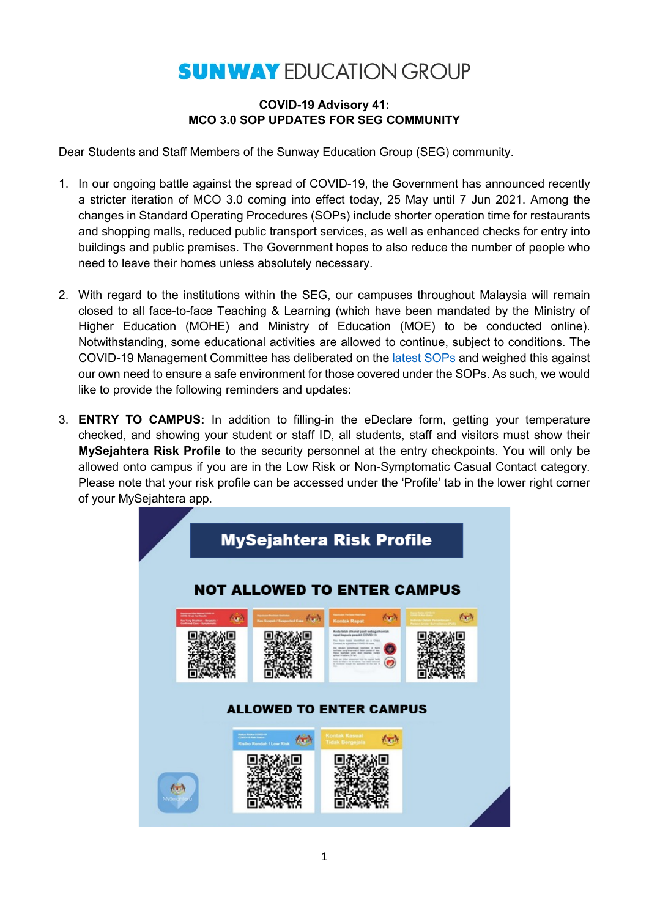## **SUNWAY EDUCATION GROUP**

## **COVID-19 Advisory 41: MCO 3.0 SOP UPDATES FOR SEG COMMUNITY**

Dear Students and Staff Members of the Sunway Education Group (SEG) community.

- 1. In our ongoing battle against the spread of COVID-19, the Government has announced recently a stricter iteration of MCO 3.0 coming into effect today, 25 May until 7 Jun 2021. Among the changes in Standard Operating Procedures (SOPs) include shorter operation time for restaurants and shopping malls, reduced public transport services, as well as enhanced checks for entry into buildings and public premises. The Government hopes to also reduce the number of people who need to leave their homes unless absolutely necessary.
- 2. With regard to the institutions within the SEG, our campuses throughout Malaysia will remain closed to all face-to-face Teaching & Learning (which have been mandated by the Ministry of Higher Education (MOHE) and Ministry of Education (MOE) to be conducted online). Notwithstanding, some educational activities are allowed to continue, subject to conditions. The COVID-19 Management Committee has deliberated on the [latest SOPs](https://asset.mkn.gov.my/web/wp-content/uploads/sites/3/2021/05/SOP-AM-PKP-Seluruh-Negara_25-Mei-2021.pdf) and weighed this against our own need to ensure a safe environment for those covered under the SOPs. As such, we would like to provide the following reminders and updates:
- 3. **ENTRY TO CAMPUS:** In addition to filling-in the eDeclare form, getting your temperature checked, and showing your student or staff ID, all students, staff and visitors must show their **MySejahtera Risk Profile** to the security personnel at the entry checkpoints. You will only be allowed onto campus if you are in the Low Risk or Non-Symptomatic Casual Contact category. Please note that your risk profile can be accessed under the 'Profile' tab in the lower right corner of your MySejahtera app.

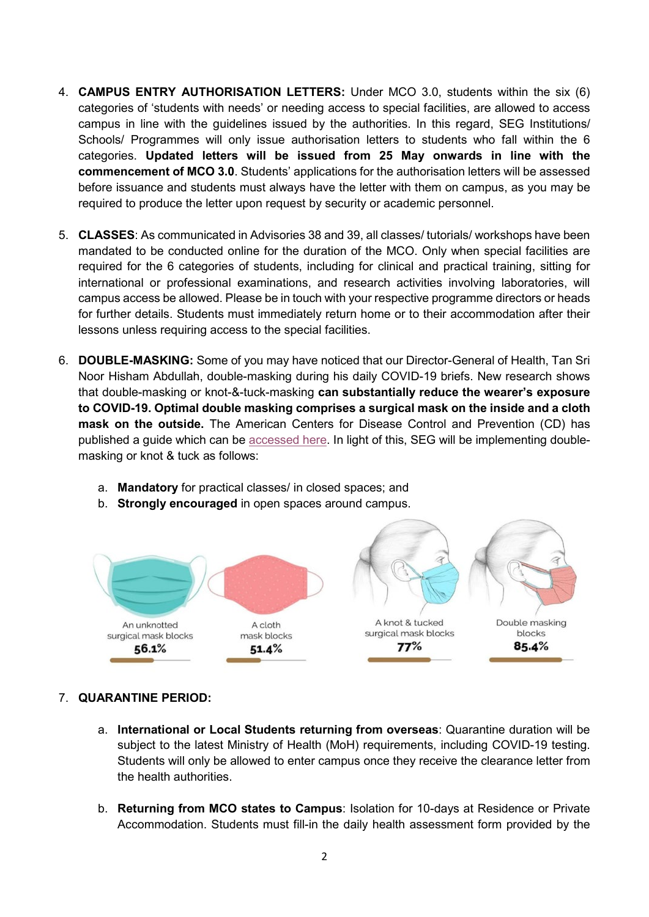- 4. **CAMPUS ENTRY AUTHORISATION LETTERS:** Under MCO 3.0, students within the six (6) categories of 'students with needs' or needing access to special facilities, are allowed to access campus in line with the guidelines issued by the authorities. In this regard, SEG Institutions/ Schools/ Programmes will only issue authorisation letters to students who fall within the 6 categories. **Updated letters will be issued from 25 May onwards in line with the commencement of MCO 3.0**. Students' applications for the authorisation letters will be assessed before issuance and students must always have the letter with them on campus, as you may be required to produce the letter upon request by security or academic personnel.
- 5. **CLASSES**: As communicated in Advisories 38 and 39, all classes/ tutorials/ workshops have been mandated to be conducted online for the duration of the MCO. Only when special facilities are required for the 6 categories of students, including for clinical and practical training, sitting for international or professional examinations, and research activities involving laboratories, will campus access be allowed. Please be in touch with your respective programme directors or heads for further details. Students must immediately return home or to their accommodation after their lessons unless requiring access to the special facilities.
- 6. **DOUBLE-MASKING:** Some of you may have noticed that our Director-General of Health, Tan Sri Noor Hisham Abdullah, double-masking during his daily COVID-19 briefs. New research shows that double-masking or knot-&-tuck-masking **can substantially reduce the wearer's exposure to COVID-19. Optimal double masking comprises a surgical mask on the inside and a cloth mask on the outside.** The American Centers for Disease Control and Prevention (CD) has published a guide which can be **accessed here. In light of this, SEG will** be implementing doublemasking or knot & tuck as follows:
	- a. **Mandatory** for practical classes/ in closed spaces; and
	- b. **Strongly encouraged** in open spaces around campus.



## 7. **QUARANTINE PERIOD:**

- a. **International or Local Students returning from overseas**: Quarantine duration will be subject to the latest Ministry of Health (MoH) requirements, including COVID-19 testing. Students will only be allowed to enter campus once they receive the clearance letter from the health authorities.
- b. **Returning from MCO states to Campus**: Isolation for 10-days at Residence or Private Accommodation. Students must fill-in the daily health assessment form provided by the